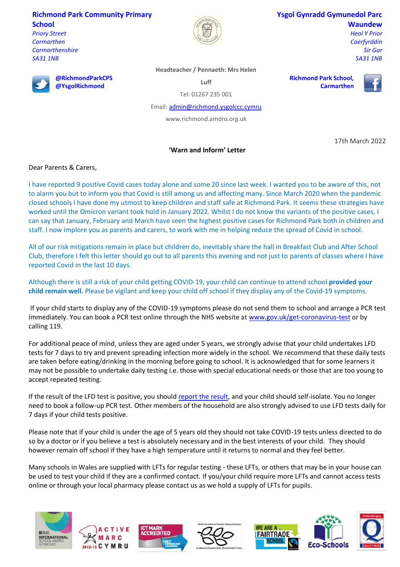## **Richmond Park Community Primary School**

**@RichmondParkCPS @YsgolRichmond**

*Priory Street Carmarthen Carmarthenshire SA31 1NB*



### **Ysgol Gynradd Gymunedol Parc Waundew**

**Richmond Park School,** 

**Carmarthen**

*Heol Y Prior Caerfyrddin Sir Gar SA31 1NB*

### **Headteacher / Pennaeth: Mrs Helen**

**Luff**

Tel: 01267 235 001

Email[: admin@richmond.ysgolccc.cymru](mailto:admin@richmond.ysgolccc.cymru)

www.richmond.amdro.org.uk

# 17th March 2022

**'Warn and Inform' Letter**

Dear Parents & Carers,

I have reported 9 positive Covid cases today alone and some 20 since last week. I wanted you to be aware of this, not to alarm you but to inform you that Covid is still among us and affecting many. Since March 2020 when the pandemic closed schools I have done my utmost to keep children and staff safe at Richmond Park. It seems these strategies have worked until the Omicron variant took hold in January 2022. Whilst I do not know the variants of the positive cases, I can say that January, February and March have seen the highest positive cases for Richmond Park both in children and staff. I now implore you as parents and carers, to work with me in helping reduce the spread of Covid in school.

All of our risk mitigations remain in place but children do, inevitably share the hall in Breakfast Club and After School Club, therefore I felt this letter should go out to all parents this evening and not just to parents of classes where I have reported Covid in the last 10 days.

Although there is still a risk of your child getting COVID-19, your child can continue to attend school **provided your child remain well.** Please be vigilant and keep your child off school if they display any of the Covid-19 symptoms.

If your child starts to display any of the COVID-19 symptoms please do not send them to school and arrange a PCR test immediately. You can book a PCR test online through the NHS website at [www.gov.uk/get-coronavirus-test](https://www.gov.uk/get-coronavirus-test) or by calling 119.

For additional peace of mind, unless they are aged under 5 years, we strongly advise that your child undertakes LFD tests for 7 days to try and prevent spreading infection more widely in the school. We recommend that these daily tests are taken before eating/drinking in the morning before going to school. It is acknowledged that for some learners it may not be possible to undertake daily testing i.e. those with special educational needs or those that are too young to accept repeated testing.

If the result of the LFD test is positive, you should [report the result,](https://www.gov.uk/report-covid19-result) and your child should self-isolate. You no longer need to book a follow-up PCR test. Other members of the household are also strongly advised to use LFD tests daily for 7 days if your child tests positive.

Please note that if your child is under the age of 5 years old they should not take COVID-19 tests unless directed to do so by a doctor or if you believe a test is absolutely necessary and in the best interests of your child. They should however remain off school if they have a high temperature until it returns to normal and they feel better.

Many schools in Wales are supplied with LFTs for regular testing - these LFTs, or others that may be in your house can be used to test your child if they are a confirmed contact. If you/your child require more LFTs and cannot access tests online or through your local pharmacy please contact us as we hold a supply of LFTs for pupils.